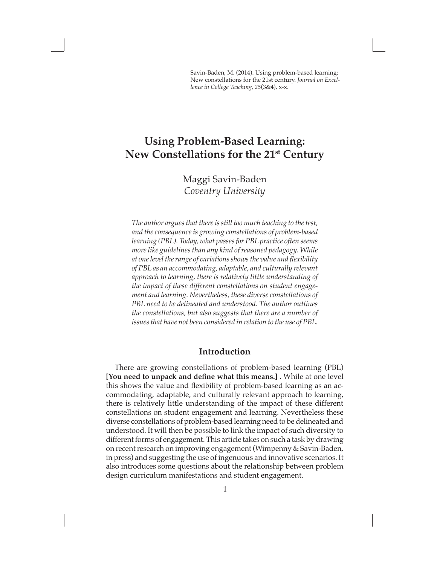Savin-Baden, M. (2014). Using problem-based learning: New constellations for the 21st century. *Journal on Excellence in College Teaching, 25*(3&4), x-x.

# **Using Problem-Based Learning: New Constellations for the 21st Century**

Maggi Savin-Baden *Coventry University*

*The author argues that there is still too much teaching to the test, and the consequence is growing constellations of problem-based learning (PBL). Today, what passes for PBL practice often seems more like guidelines than any kind of reasoned pedagogy. While at one level the range of variations shows the value and flexibility of PBL as an accommodating, adaptable, and culturally relevant approach to learning, there is relatively little understanding of the impact of these different constellations on student engagement and learning. Nevertheless, these diverse constellations of PBL need to be delineated and understood. The author outlines the constellations, but also suggests that there are a number of issues that have not been considered in relation to the use of PBL.*

## **Introduction**

There are growing constellations of problem-based learning (PBL) **[You need to unpack and define what this means.]** . While at one level this shows the value and flexibility of problem-based learning as an accommodating, adaptable, and culturally relevant approach to learning, there is relatively little understanding of the impact of these different constellations on student engagement and learning. Nevertheless these diverse constellations of problem-based learning need to be delineated and understood. It will then be possible to link the impact of such diversity to different forms of engagement. This article takes on such a task by drawing on recent research on improving engagement (Wimpenny & Savin-Baden, in press) and suggesting the use of ingenuous and innovative scenarios. It also introduces some questions about the relationship between problem design curriculum manifestations and student engagement.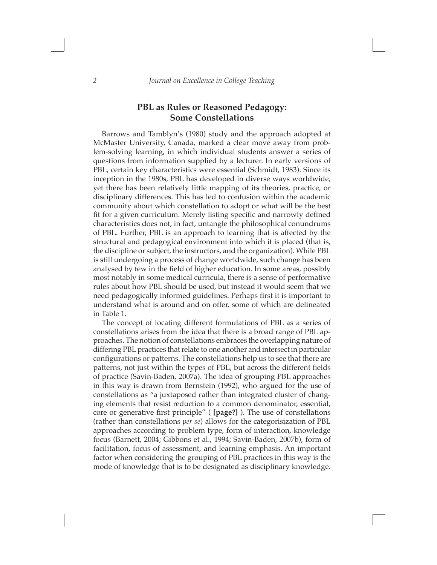# **PBL as Rules or Reasoned Pedagogy: Some Constellations**

Barrows and Tamblyn's (1980) study and the approach adopted at McMaster University, Canada, marked a clear move away from problem-solving learning, in which individual students answer a series of questions from information supplied by a lecturer. In early versions of PBL, certain key characteristics were essential (Schmidt, 1983). Since its inception in the 1980s, PBL has developed in diverse ways worldwide, yet there has been relatively little mapping of its theories, practice, or disciplinary differences. This has led to confusion within the academic community about which constellation to adopt or what will be the best fit for a given curriculum. Merely listing specific and narrowly defined characteristics does not, in fact, untangle the philosophical conundrums of PBL. Further, PBL is an approach to learning that is affected by the structural and pedagogical environment into which it is placed (that is, the discipline or subject, the instructors, and the organization). While PBL is still undergoing a process of change worldwide, such change has been analysed by few in the field of higher education. In some areas, possibly most notably in some medical curricula, there is a sense of performative rules about how PBL should be used, but instead it would seem that we need pedagogically informed guidelines. Perhaps first it is important to understand what is around and on offer, some of which are delineated in Table 1.

The concept of locating different formulations of PBL as a series of constellations arises from the idea that there is a broad range of PBL approaches. The notion of constellations embraces the overlapping nature of differing PBL practices that relate to one another and intersect in particular configurations or patterns. The constellations help us to see that there are patterns, not just within the types of PBL, but across the different fields of practice (Savin-Baden, 2007a). The idea of grouping PBL approaches in this way is drawn from Bernstein (1992), who argued for the use of constellations as "a juxtaposed rather than integrated cluster of changing elements that resist reduction to a common denominator, essential, core or generative first principle" ( **[page?]** ). The use of constellations (rather than constellations *per se*) allows for the categorisization of PBL approaches according to problem type, form of interaction, knowledge focus (Barnett, 2004; Gibbons et al., 1994; Savin-Baden, 2007b), form of facilitation, focus of assessment, and learning emphasis. An important factor when considering the grouping of PBL practices in this way is the mode of knowledge that is to be designated as disciplinary knowledge.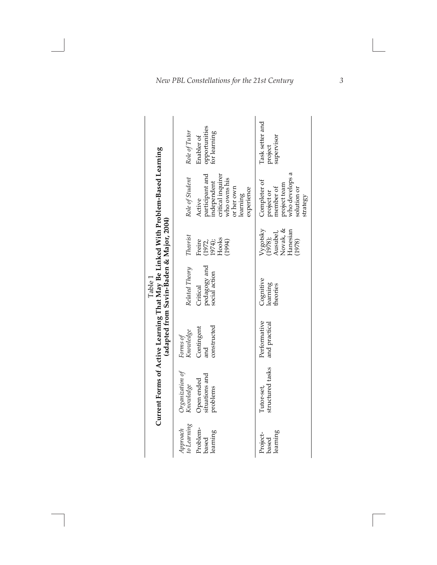| Current Forms or Active Learning I hat May be Linked with Froblem-based Learning<br>(adapted from Savin-Baden & Major, 2004) | opportunities<br>for learning<br>Role of Tutor<br>Enabler of<br>participant and<br>independent<br>critical inquirer<br>Role of Student<br>who owns his<br>or her own<br>experience<br>learning<br>Active<br>Theorist<br>$(1972, 1974);$<br>Hooks<br>Freire<br>(1994)<br>Related Theory<br>pedagogy and<br>social action<br>Critical<br>constructed<br>Contingent<br>Forms of<br>Knowledge<br>and<br>Organization of<br>situations and<br>Open ended<br>Knowledge<br>problems | Task setter and<br>supervisor<br>project<br>who develops a<br>Completer of<br>project team<br>member of<br>solution or<br>project or<br>strategy<br>Vygotsky<br>(1978);<br>Ausubel,<br>Novak, &<br>Hanesian<br>(1978)<br>Cognitive<br>learning<br>theories<br>Performative<br>and practical<br>structured tasks<br>Tutor-set, |
|------------------------------------------------------------------------------------------------------------------------------|------------------------------------------------------------------------------------------------------------------------------------------------------------------------------------------------------------------------------------------------------------------------------------------------------------------------------------------------------------------------------------------------------------------------------------------------------------------------------|-------------------------------------------------------------------------------------------------------------------------------------------------------------------------------------------------------------------------------------------------------------------------------------------------------------------------------|
|                                                                                                                              | to Learning<br>Approach<br>Problem-<br>learning<br>based                                                                                                                                                                                                                                                                                                                                                                                                                     | learning<br>Project-<br>based                                                                                                                                                                                                                                                                                                 |
|                                                                                                                              |                                                                                                                                                                                                                                                                                                                                                                                                                                                                              |                                                                                                                                                                                                                                                                                                                               |

**Current Forms of Active Learning That May Be Linked With Problem-Based Learning**   $\cdot$  $\frac{1}{2}$  $\mathbf{r}$ Table 1<br>That May Be I inked With Proble.  $\cdot$  $\blacksquare$  $f \wedge \overline{diff}$  $\mathbf{H}$ Ċ

*3*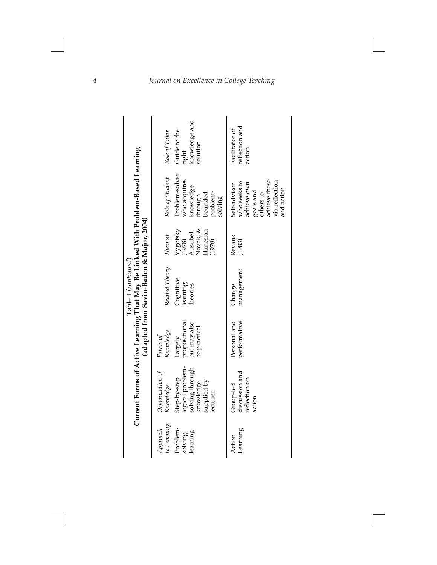|                                                                                 | right<br>knowledge and<br>Guide to the<br>Role of Tutor<br>solution                                                          | reflection and<br>Facilitator of<br>action                                                                             |
|---------------------------------------------------------------------------------|------------------------------------------------------------------------------------------------------------------------------|------------------------------------------------------------------------------------------------------------------------|
| Current Forms of Active Learning That May Be Linked With Problem-Based Learning | Problem-solver<br>Role of Student<br>who acquires<br>knowledge<br>through<br>problem-<br>bounded<br>solving                  | achieve these<br>who seeks to<br>via reflection<br>achieve own<br>Self-advisor<br>and action<br>goals and<br>others to |
|                                                                                 | Ausubel,<br>Novak, &<br>Hanesian<br>$Vygotsky$<br>(1978)<br>Theorist<br>(1978)                                               | Revans<br>(1983)                                                                                                       |
| (adapted from Savin-Baden & Major, 2004)<br>Table 1 (continued)                 | Related Theory<br>Cognitive<br>learning<br>theories                                                                          | management<br>Change                                                                                                   |
|                                                                                 | propositional<br>but may also<br>be practical<br>Knowledge<br>Forms of<br>Largely                                            | performative<br>Personal and                                                                                           |
|                                                                                 | logical problem-<br>solving through<br>knowledge<br>Organization of<br>Step-by-step<br>supplied by<br>Knowledge<br>lecturer. | discussion and<br>reflection on<br>Group-led<br>action                                                                 |
|                                                                                 | to Learning<br>Problem-<br>Approach<br>learning<br>solving                                                                   | Learning<br>Action                                                                                                     |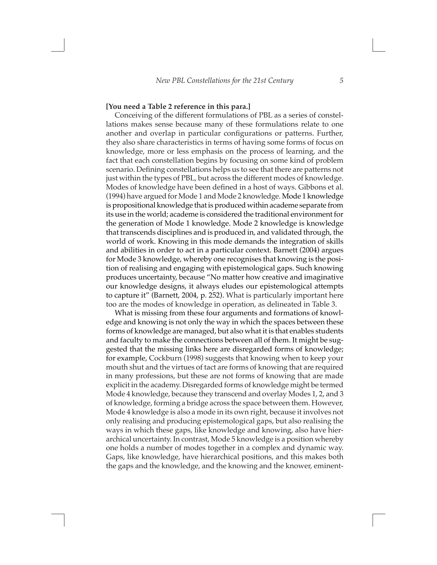#### **[You need a Table 2 reference in this para.]**

Conceiving of the different formulations of PBL as a series of constellations makes sense because many of these formulations relate to one another and overlap in particular configurations or patterns. Further, they also share characteristics in terms of having some forms of focus on knowledge, more or less emphasis on the process of learning, and the fact that each constellation begins by focusing on some kind of problem scenario. Defining constellations helps us to see that there are patterns not just within the types of PBL, but across the different modes of knowledge. Modes of knowledge have been defined in a host of ways. Gibbons et al. (1994) have argued for Mode 1 and Mode 2 knowledge. Mode 1 knowledge is propositional knowledge that is produced within academe separate from its use in the world; academe is considered the traditional environment for the generation of Mode 1 knowledge. Mode 2 knowledge is knowledge that transcends disciplines and is produced in, and validated through, the world of work. Knowing in this mode demands the integration of skills and abilities in order to act in a particular context. Barnett (2004) argues for Mode 3 knowledge, whereby one recognises that knowing is the position of realising and engaging with epistemological gaps. Such knowing produces uncertainty, because "No matter how creative and imaginative our knowledge designs, it always eludes our epistemological attempts to capture it" (Barnett, 2004, p. 252). What is particularly important here too are the modes of knowledge in operation, as delineated in Table 3.

What is missing from these four arguments and formations of knowledge and knowing is not only the way in which the spaces between these forms of knowledge are managed, but also what it is that enables students and faculty to make the connections between all of them. It might be suggested that the missing links here are disregarded forms of knowledge; for example, Cockburn (1998) suggests that knowing when to keep your mouth shut and the virtues of tact are forms of knowing that are required in many professions, but these are not forms of knowing that are made explicit in the academy. Disregarded forms of knowledge might be termed Mode 4 knowledge, because they transcend and overlay Modes 1, 2, and 3 of knowledge, forming a bridge across the space between them. However, Mode 4 knowledge is also a mode in its own right, because it involves not only realising and producing epistemological gaps, but also realising the ways in which these gaps, like knowledge and knowing, also have hierarchical uncertainty. In contrast, Mode 5 knowledge is a position whereby one holds a number of modes together in a complex and dynamic way. Gaps, like knowledge, have hierarchical positions, and this makes both the gaps and the knowledge, and the knowing and the knower, eminent-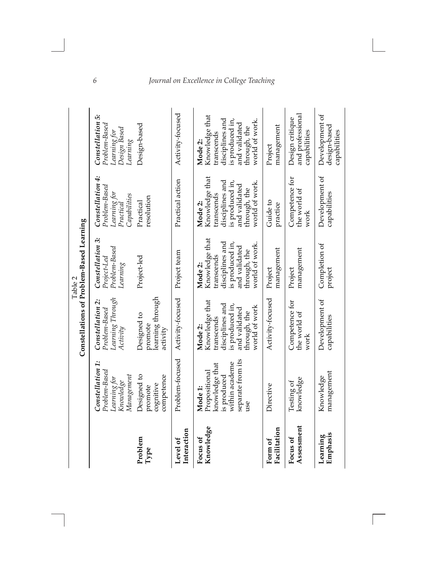|                         |                                                                                                         | Constellations of Problem-Based Learning                                                                                        | Table 2                                                                                                                        |                                                                                                                                 |                                                                                                                                 |
|-------------------------|---------------------------------------------------------------------------------------------------------|---------------------------------------------------------------------------------------------------------------------------------|--------------------------------------------------------------------------------------------------------------------------------|---------------------------------------------------------------------------------------------------------------------------------|---------------------------------------------------------------------------------------------------------------------------------|
|                         | Constellation 1:<br>Problem-Based<br>Management<br>Learning for<br>Knowledge                            | Learning Through<br>Constellation 2:<br>Problem-Based<br>Activity                                                               | Constellation 3:<br>Problem-Based<br>Project-Led<br>Learning                                                                   | Constellation 4:<br>Problem-Based<br>Learning for<br>Capabilities<br>Practical                                                  | Constellation 5:<br>Problem-Based<br>Design Based<br>Learning for<br>Lemma                                                      |
| Problem<br>${\bf Type}$ | Designed to<br>competence<br>cognitive<br>promote                                                       | learning through<br>Designed to<br>promote<br>activity                                                                          | Project-led                                                                                                                    | resolution<br>Practical                                                                                                         | Design-based                                                                                                                    |
| Interaction<br>Level of | Problem-focused                                                                                         | Activity-focused                                                                                                                | Project team                                                                                                                   | Practical action                                                                                                                | Activity-focused                                                                                                                |
| Knowledge<br>Focus of   | separate from its<br>within academe<br>knowledge that<br>Propositional<br>is produced<br>Mode 1:<br>use | Knowledge that<br>disciplines and<br>is produced in,<br>world of work<br>and validated<br>through, the<br>transcends<br>Mode 2: | Knowledge that<br>disciplines and<br>is produced in,<br>world of work<br>and validated<br>through, the<br>transcends<br>Mode 2 | Knowledge that<br>disciplines and<br>is produced in,<br>world of work<br>and validated<br>through, the<br>transcends<br>Mode 2: | Knowledge that<br>disciplines and<br>is produced in,<br>world of work<br>and validated<br>through, the<br>transcends<br>Mode 2: |
| Facilitation<br>Form of | Directive                                                                                               | Activity-focused                                                                                                                | management<br>Project                                                                                                          | Guide to<br>practice                                                                                                            | management<br>Project                                                                                                           |
| Assessment<br>Focus of  | knowledge<br>Testing of                                                                                 | Competence for<br>the world of<br>work                                                                                          | management<br>Project                                                                                                          | Competence for<br>the world of<br>work                                                                                          | and professiona<br>Design critique<br>capabilities                                                                              |
| Emphasis<br>Learning    | management<br>Knowledge                                                                                 | Development of<br>capabilities                                                                                                  | Completion of<br>project                                                                                                       | Development of<br>capabilities                                                                                                  | Development of<br>design-based<br>capabilities                                                                                  |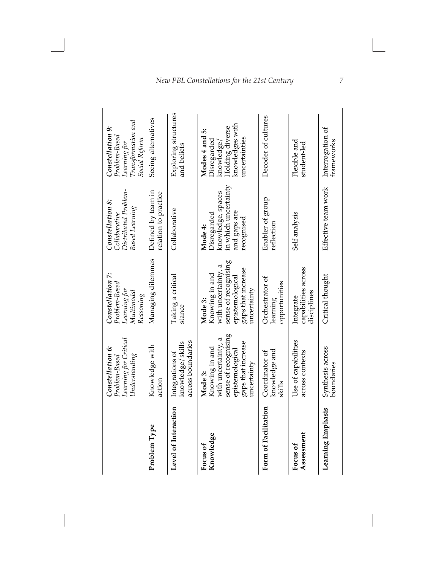|                        | Learning for Critical<br>Constellation 6:<br>$\Upsilon$ nderstandin $g$<br>Problem-Based                                         | Constellation 7:<br>Problem-Based<br>Learning for<br>Multimodal<br>Reasoning                                                     | Distributed Problem-<br>Constellation 8:<br><b>Based Learning</b><br>Collaborative                | Transformation and<br>Constellation 9:<br>Problem-Based<br>Social Reform<br>Learning for           |
|------------------------|----------------------------------------------------------------------------------------------------------------------------------|----------------------------------------------------------------------------------------------------------------------------------|---------------------------------------------------------------------------------------------------|----------------------------------------------------------------------------------------------------|
| Problem Type           | Knowledge with<br>action                                                                                                         | Managing dilemmas                                                                                                                | Defined by team in<br>relation to practice                                                        | Seeing alternatives                                                                                |
| Level of Interaction   | across boundaries<br>knowledge/skills<br>Integrations of                                                                         | Taking a critical<br>stance                                                                                                      | Collaborative                                                                                     | Exploring structures<br>and beliefs                                                                |
| Knowledge<br>Focus of  | sense of recognising<br>with uncertainty, a<br>gaps that increase<br>Knowing in and<br>epistemological<br>uncertainty<br>Mode 3: | sense of recognising<br>with uncertainty, a<br>gaps that increase<br>Knowing in and<br>epistemological<br>uncertainty<br>Mode 3: | in which uncertainty<br>knowledge, spaces<br>and gaps are<br>Disregarded<br>recognised<br>Mode 4: | knowledges with<br>Holding diverse<br>Modes 4 and 5:<br>uncertainties<br>Disregarded<br>knowledge, |
| Form of Facilitation   | knowledge and<br>Coordinator of<br>skills                                                                                        | Orchestrator of<br>opportunities<br>learning                                                                                     | Enabler of group<br>reflection                                                                    | Decoder of cultures                                                                                |
| Assessment<br>Focus of | Use of capabilities<br>across contexts                                                                                           | capabilities across<br>disciplines<br>Integrate                                                                                  | Self analysis                                                                                     | Flexible and<br>student-led                                                                        |
| Learning Emphasis      | Synthesis across<br>boundaries                                                                                                   | Critical thought                                                                                                                 | Effective team work                                                                               | Interrogation of<br>trameworks                                                                     |

*New PBL Constellations for the 21st Century*

*7*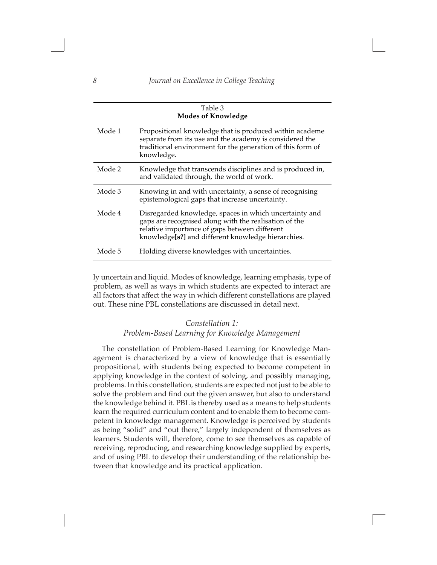|        | Table 3<br><b>Modes of Knowledge</b>                                                                                                                                                                                   |
|--------|------------------------------------------------------------------------------------------------------------------------------------------------------------------------------------------------------------------------|
| Mode 1 | Propositional knowledge that is produced within academe<br>separate from its use and the academy is considered the<br>traditional environment for the generation of this form of<br>knowledge.                         |
| Mode 2 | Knowledge that transcends disciplines and is produced in,<br>and validated through, the world of work.                                                                                                                 |
| Mode 3 | Knowing in and with uncertainty, a sense of recognising<br>epistemological gaps that increase uncertainty.                                                                                                             |
| Mode 4 | Disregarded knowledge, spaces in which uncertainty and<br>gaps are recognised along with the realisation of the<br>relative importance of gaps between different<br>knowledge[s?] and different knowledge hierarchies. |
| Mode 5 | Holding diverse knowledges with uncertainties.                                                                                                                                                                         |

ly uncertain and liquid. Modes of knowledge, learning emphasis, type of problem, as well as ways in which students are expected to interact are all factors that affect the way in which different constellations are played out. These nine PBL constellations are discussed in detail next.

# *Constellation 1: Problem-Based Learning for Knowledge Management*

The constellation of Problem-Based Learning for Knowledge Management is characterized by a view of knowledge that is essentially propositional, with students being expected to become competent in applying knowledge in the context of solving, and possibly managing, problems. In this constellation, students are expected not just to be able to solve the problem and find out the given answer, but also to understand the knowledge behind it. PBL is thereby used as a means to help students learn the required curriculum content and to enable them to become competent in knowledge management. Knowledge is perceived by students as being "solid" and "out there," largely independent of themselves as learners. Students will, therefore, come to see themselves as capable of receiving, reproducing, and researching knowledge supplied by experts, and of using PBL to develop their understanding of the relationship between that knowledge and its practical application.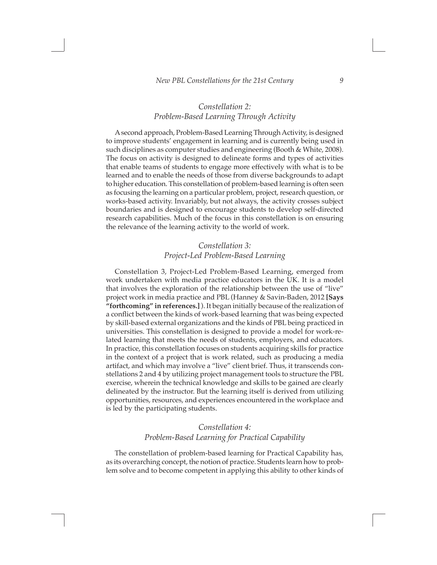### *Constellation 2: Problem-Based Learning Through Activity*

A second approach, Problem-Based Learning Through Activity, is designed to improve students' engagement in learning and is currently being used in such disciplines as computer studies and engineering (Booth & White, 2008). The focus on activity is designed to delineate forms and types of activities that enable teams of students to engage more effectively with what is to be learned and to enable the needs of those from diverse backgrounds to adapt to higher education. This constellation of problem-based learning is often seen as focusing the learning on a particular problem, project, research question, or works-based activity. Invariably, but not always, the activity crosses subject boundaries and is designed to encourage students to develop self-directed research capabilities. Much of the focus in this constellation is on ensuring the relevance of the learning activity to the world of work.

## *Constellation 3: Project-Led Problem-Based Learning*

Constellation 3, Project-Led Problem-Based Learning, emerged from work undertaken with media practice educators in the UK. It is a model that involves the exploration of the relationship between the use of "live" project work in media practice and PBL (Hanney & Savin-Baden, 2012 **[Says "forthcoming" in references.]** ). It began initially because of the realization of a conflict between the kinds of work-based learning that was being expected by skill-based external organizations and the kinds of PBL being practiced in universities. This constellation is designed to provide a model for work-related learning that meets the needs of students, employers, and educators. In practice, this constellation focuses on students acquiring skills for practice in the context of a project that is work related, such as producing a media artifact, and which may involve a "live" client brief. Thus, it transcends constellations 2 and 4 by utilizing project management tools to structure the PBL exercise, wherein the technical knowledge and skills to be gained are clearly delineated by the instructor. But the learning itself is derived from utilizing opportunities, resources, and experiences encountered in the workplace and is led by the participating students.

### *Constellation 4: Problem-Based Learning for Practical Capability*

The constellation of problem-based learning for Practical Capability has, as its overarching concept, the notion of practice. Students learn how to problem solve and to become competent in applying this ability to other kinds of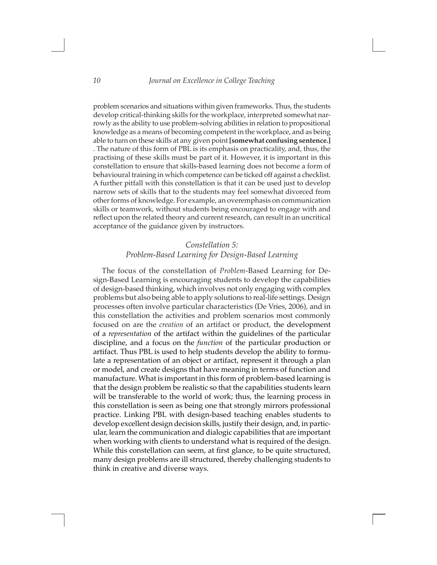problem scenarios and situations within given frameworks. Thus, the students develop critical-thinking skills for the workplace, interpreted somewhat narrowly as the ability to use problem-solving abilities in relation to propositional knowledge as a means of becoming competent in the workplace, and as being able to turn on these skills at any given point **[somewhat confusing sentence.]** . The nature of this form of PBL is its emphasis on practicality, and, thus, the practising of these skills must be part of it. However, it is important in this constellation to ensure that skills-based learning does not become a form of behavioural training in which competence can be ticked off against a checklist. A further pitfall with this constellation is that it can be used just to develop narrow sets of skills that to the students may feel somewhat divorced from other forms of knowledge. For example, an overemphasis on communication skills or teamwork, without students being encouraged to engage with and reflect upon the related theory and current research, can result in an uncritical acceptance of the guidance given by instructors.

# *Constellation 5: Problem-Based Learning for Design-Based Learning*

The focus of the constellation of *Problem*-Based Learning for Design-Based Learning is encouraging students to develop the capabilities of design-based thinking, which involves not only engaging with complex problems but also being able to apply solutions to real-life settings. Design processes often involve particular characteristics (De Vries, 2006), and in this constellation the activities and problem scenarios most commonly focused on are the *creation* of an artifact or product, the development of a *representation* of the artifact within the guidelines of the particular discipline, and a focus on the *function* of the particular production or artifact. Thus PBL is used to help students develop the ability to formulate a representation of an object or artifact, represent it through a plan or model, and create designs that have meaning in terms of function and manufacture. What is important in this form of problem-based learning is that the design problem be realistic so that the capabilities students learn will be transferable to the world of work; thus, the learning process in this constellation is seen as being one that strongly mirrors professional practice. Linking PBL with design-based teaching enables students to develop excellent design decision skills, justify their design, and, in particular, learn the communication and dialogic capabilities that are important when working with clients to understand what is required of the design. While this constellation can seem, at first glance, to be quite structured, many design problems are ill structured, thereby challenging students to think in creative and diverse ways.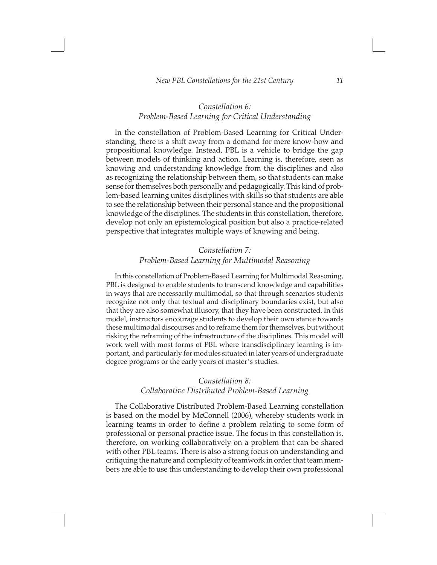### *Constellation 6: Problem-Based Learning for Critical Understanding*

In the constellation of Problem-Based Learning for Critical Understanding, there is a shift away from a demand for mere know-how and propositional knowledge. Instead, PBL is a vehicle to bridge the gap between models of thinking and action. Learning is, therefore, seen as knowing and understanding knowledge from the disciplines and also as recognizing the relationship between them, so that students can make sense for themselves both personally and pedagogically. This kind of problem-based learning unites disciplines with skills so that students are able to see the relationship between their personal stance and the propositional knowledge of the disciplines. The students in this constellation, therefore, develop not only an epistemological position but also a practice-related perspective that integrates multiple ways of knowing and being.

### *Constellation 7: Problem-Based Learning for Multimodal Reasoning*

In this constellation of Problem-Based Learning for Multimodal Reasoning, PBL is designed to enable students to transcend knowledge and capabilities in ways that are necessarily multimodal, so that through scenarios students recognize not only that textual and disciplinary boundaries exist, but also that they are also somewhat illusory, that they have been constructed. In this model, instructors encourage students to develop their own stance towards these multimodal discourses and to reframe them for themselves, but without risking the reframing of the infrastructure of the disciplines. This model will work well with most forms of PBL where transdisciplinary learning is important, and particularly for modules situated in later years of undergraduate degree programs or the early years of master's studies.

### *Constellation 8: Collaborative Distributed Problem-Based Learning*

The Collaborative Distributed Problem-Based Learning constellation is based on the model by McConnell (2006), whereby students work in learning teams in order to define a problem relating to some form of professional or personal practice issue. The focus in this constellation is, therefore, on working collaboratively on a problem that can be shared with other PBL teams. There is also a strong focus on understanding and critiquing the nature and complexity of teamwork in order that team members are able to use this understanding to develop their own professional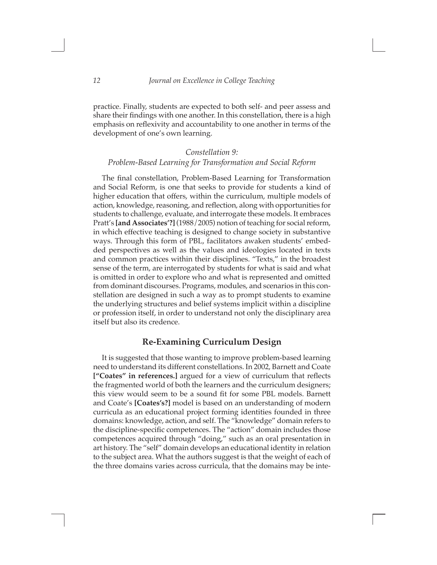practice. Finally, students are expected to both self- and peer assess and share their findings with one another. In this constellation, there is a high emphasis on reflexivity and accountability to one another in terms of the development of one's own learning.

### *Constellation 9: Problem-Based Learning for Transformation and Social Reform*

The final constellation, Problem-Based Learning for Transformation and Social Reform, is one that seeks to provide for students a kind of higher education that offers, within the curriculum, multiple models of action, knowledge, reasoning, and reflection, along with opportunities for students to challenge, evaluate, and interrogate these models. It embraces Pratt's **[and Associates'?]** (1988/2005) notion of teaching for social reform, in which effective teaching is designed to change society in substantive ways. Through this form of PBL, facilitators awaken students' embedded perspectives as well as the values and ideologies located in texts and common practices within their disciplines. "Texts," in the broadest sense of the term, are interrogated by students for what is said and what is omitted in order to explore who and what is represented and omitted from dominant discourses. Programs, modules, and scenarios in this constellation are designed in such a way as to prompt students to examine the underlying structures and belief systems implicit within a discipline or profession itself, in order to understand not only the disciplinary area itself but also its credence.

### **Re-Examining Curriculum Design**

It is suggested that those wanting to improve problem-based learning need to understand its different constellations. In 2002, Barnett and Coate **["Coates" in references.]** argued for a view of curriculum that reflects the fragmented world of both the learners and the curriculum designers; this view would seem to be a sound fit for some PBL models. Barnett and Coate's **[Coates's?]** model is based on an understanding of modern curricula as an educational project forming identities founded in three domains: knowledge, action, and self. The "knowledge" domain refers to the discipline-specific competences. The "action" domain includes those competences acquired through "doing," such as an oral presentation in art history. The "self" domain develops an educational identity in relation to the subject area. What the authors suggest is that the weight of each of the three domains varies across curricula, that the domains may be inte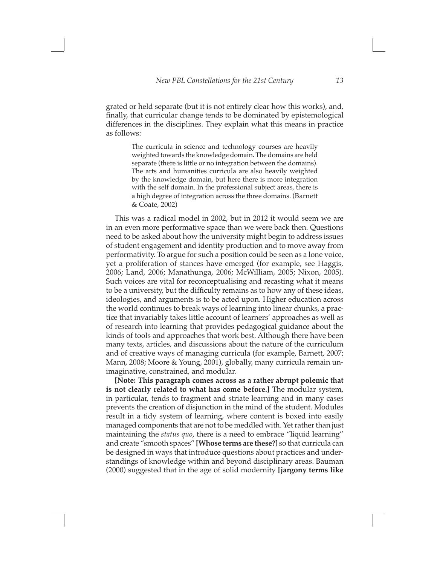grated or held separate (but it is not entirely clear how this works), and, finally, that curricular change tends to be dominated by epistemological differences in the disciplines. They explain what this means in practice as follows:

> The curricula in science and technology courses are heavily weighted towards the knowledge domain. The domains are held separate (there is little or no integration between the domains). The arts and humanities curricula are also heavily weighted by the knowledge domain, but here there is more integration with the self domain. In the professional subject areas, there is a high degree of integration across the three domains. (Barnett & Coate, 2002)

This was a radical model in 2002, but in 2012 it would seem we are in an even more performative space than we were back then. Questions need to be asked about how the university might begin to address issues of student engagement and identity production and to move away from performativity. To argue for such a position could be seen as a lone voice, yet a proliferation of stances have emerged (for example, see Haggis, 2006; Land, 2006; Manathunga, 2006; McWilliam, 2005; Nixon, 2005). Such voices are vital for reconceptualising and recasting what it means to be a university, but the difficulty remains as to how any of these ideas, ideologies, and arguments is to be acted upon. Higher education across the world continues to break ways of learning into linear chunks, a practice that invariably takes little account of learners' approaches as well as of research into learning that provides pedagogical guidance about the kinds of tools and approaches that work best. Although there have been many texts, articles, and discussions about the nature of the curriculum and of creative ways of managing curricula (for example, Barnett, 2007; Mann, 2008; Moore & Young, 2001), globally, many curricula remain unimaginative, constrained, and modular.

**[Note: This paragraph comes across as a rather abrupt polemic that is not clearly related to what has come before.]** The modular system, in particular, tends to fragment and striate learning and in many cases prevents the creation of disjunction in the mind of the student. Modules result in a tidy system of learning, where content is boxed into easily managed components that are not to be meddled with. Yet rather than just maintaining the *status quo*, there is a need to embrace "liquid learning" and create "smooth spaces" **[Whose terms are these?]** so that curricula can be designed in ways that introduce questions about practices and understandings of knowledge within and beyond disciplinary areas. Bauman (2000) suggested that in the age of solid modernity **[jargony terms like**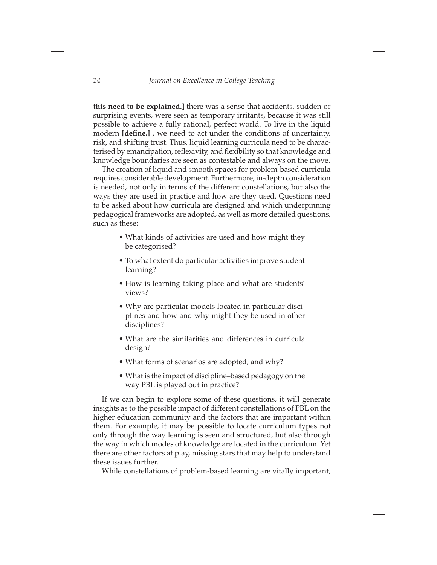**this need to be explained.]** there was a sense that accidents, sudden or surprising events, were seen as temporary irritants, because it was still possible to achieve a fully rational, perfect world. To live in the liquid modern **[define.]** , we need to act under the conditions of uncertainty, risk, and shifting trust. Thus, liquid learning curricula need to be characterised by emancipation, reflexivity, and flexibility so that knowledge and knowledge boundaries are seen as contestable and always on the move.

The creation of liquid and smooth spaces for problem-based curricula requires considerable development. Furthermore, in-depth consideration is needed, not only in terms of the different constellations, but also the ways they are used in practice and how are they used. Questions need to be asked about how curricula are designed and which underpinning pedagogical frameworks are adopted, as well as more detailed questions, such as these:

- What kinds of activities are used and how might they be categorised?
- To what extent do particular activities improve student learning?
- How is learning taking place and what are students' views?
- Why are particular models located in particular disciplines and how and why might they be used in other disciplines?
- What are the similarities and differences in curricula design?
- What forms of scenarios are adopted, and why?
- What is the impact of discipline–based pedagogy on the way PBL is played out in practice?

If we can begin to explore some of these questions, it will generate insights as to the possible impact of different constellations of PBL on the higher education community and the factors that are important within them. For example, it may be possible to locate curriculum types not only through the way learning is seen and structured, but also through the way in which modes of knowledge are located in the curriculum. Yet there are other factors at play, missing stars that may help to understand these issues further.

While constellations of problem-based learning are vitally important,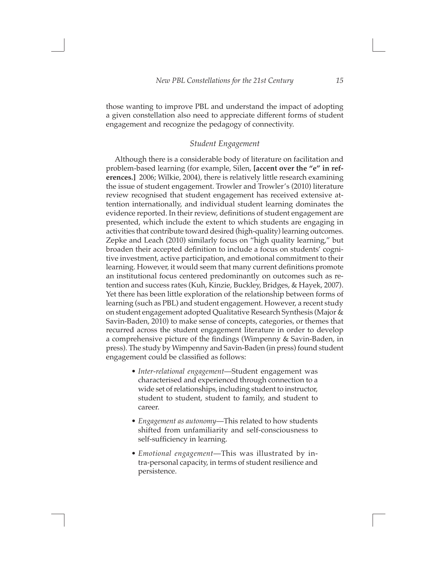those wanting to improve PBL and understand the impact of adopting a given constellation also need to appreciate different forms of student engagement and recognize the pedagogy of connectivity.

#### *Student Engagement*

Although there is a considerable body of literature on facilitation and problem-based learning (for example, Silen, **[accent over the "e" in references.]** 2006; Wilkie, 2004), there is relatively little research examining the issue of student engagement. Trowler and Trowler's (2010) literature review recognised that student engagement has received extensive attention internationally, and individual student learning dominates the evidence reported. In their review, definitions of student engagement are presented, which include the extent to which students are engaging in activities that contribute toward desired (high-quality) learning outcomes. Zepke and Leach (2010) similarly focus on "high quality learning," but broaden their accepted definition to include a focus on students' cognitive investment, active participation, and emotional commitment to their learning. However, it would seem that many current definitions promote an institutional focus centered predominantly on outcomes such as retention and success rates (Kuh, Kinzie, Buckley, Bridges, & Hayek, 2007). Yet there has been little exploration of the relationship between forms of learning (such as PBL) and student engagement. However, a recent study on student engagement adopted Qualitative Research Synthesis (Major & Savin-Baden, 2010) to make sense of concepts, categories, or themes that recurred across the student engagement literature in order to develop a comprehensive picture of the findings (Wimpenny & Savin-Baden, in press). The study by Wimpenny and Savin-Baden (in press) found student engagement could be classified as follows:

- *• Inter-relational engagement*—Student engagement was characterised and experienced through connection to a wide set of relationships, including student to instructor, student to student, student to family, and student to career.
- *• Engagement as autonomy*—This related to how students shifted from unfamiliarity and self-consciousness to self-sufficiency in learning.
- *• Emotional engagement*—This was illustrated by intra-personal capacity, in terms of student resilience and persistence.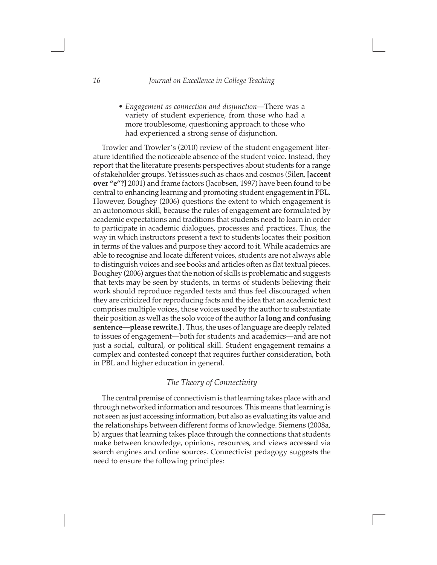*• Engagement as connection and disjunction*—There was a variety of student experience, from those who had a more troublesome, questioning approach to those who had experienced a strong sense of disjunction.

Trowler and Trowler's (2010) review of the student engagement literature identified the noticeable absence of the student voice. Instead, they report that the literature presents perspectives about students for a range of stakeholder groups. Yet issues such as chaos and cosmos (Silen, **[accent over "e"?]** 2001) and frame factors (Jacobsen, 1997) have been found to be central to enhancing learning and promoting student engagement in PBL. However, Boughey (2006) questions the extent to which engagement is an autonomous skill, because the rules of engagement are formulated by academic expectations and traditions that students need to learn in order to participate in academic dialogues, processes and practices. Thus, the way in which instructors present a text to students locates their position in terms of the values and purpose they accord to it. While academics are able to recognise and locate different voices, students are not always able to distinguish voices and see books and articles often as flat textual pieces. Boughey (2006) argues that the notion of skills is problematic and suggests that texts may be seen by students, in terms of students believing their work should reproduce regarded texts and thus feel discouraged when they are criticized for reproducing facts and the idea that an academic text comprises multiple voices, those voices used by the author to substantiate their position as well as the solo voice of the author **[a long and confusing sentence—please rewrite.]** . Thus, the uses of language are deeply related to issues of engagement—both for students and academics—and are not just a social, cultural, or political skill. Student engagement remains a complex and contested concept that requires further consideration, both in PBL and higher education in general.

### *The Theory of Connectivity*

The central premise of connectivism is that learning takes place with and through networked information and resources. This means that learning is not seen as just accessing information, but also as evaluating its value and the relationships between different forms of knowledge. Siemens (2008a, b) argues that learning takes place through the connections that students make between knowledge, opinions, resources, and views accessed via search engines and online sources. Connectivist pedagogy suggests the need to ensure the following principles: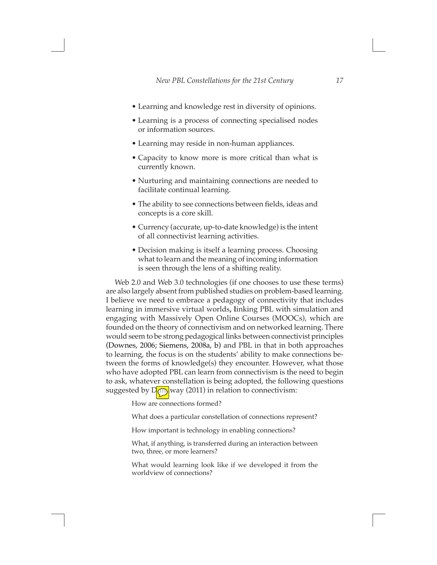*New PBL Constellations for the 21st Century 17*

- Learning and knowledge rest in diversity of opinions.
- Learning is a process of connecting specialised nodes or information sources.
- Learning may reside in non-human appliances.
- Capacity to know more is more critical than what is currently known.
- Nurturing and maintaining connections are needed to facilitate continual learning.
- The ability to see connections between fields, ideas and concepts is a core skill.
- Currency (accurate, up-to-date knowledge) is the intent of all connectivist learning activities.
- Decision making is itself a learning process. Choosing what to learn and the meaning of incoming information is seen through the lens of a shifting reality.

Web 2.0 and Web 3.0 technologies (if one chooses to use these terms) are also largely absent from published studies on problem-based learning. I believe we need to embrace a pedagogy of connectivity that includes learning in immersive virtual worlds**, l**inking PBL with simulation and engaging with Massively Open Online Courses (MOOCs), which are founded on the theory of connectivism and on networked learning. There would seem to be strong pedagogical links between connectivist principles (Downes, 2006; Siemens, 2008a, b) and PBL in that in both approaches to learning, the focus is on the students' ability to make connections between the forms of knowledge(s) they encounter. However, what those who have adopted PBL can learn from connectivism is the need to begin to ask, whatever constellation is being adopted, the following questions suggested by  $D(\mathbb{R})$  way (2011) in relation to connectivism:

How are connections formed?

What does a particular constellation of connections represent?

How important is technology in enabling connections?

What, if anything, is transferred during an interaction between two, three, or more learners?

What would learning look like if we developed it from the worldview of connections?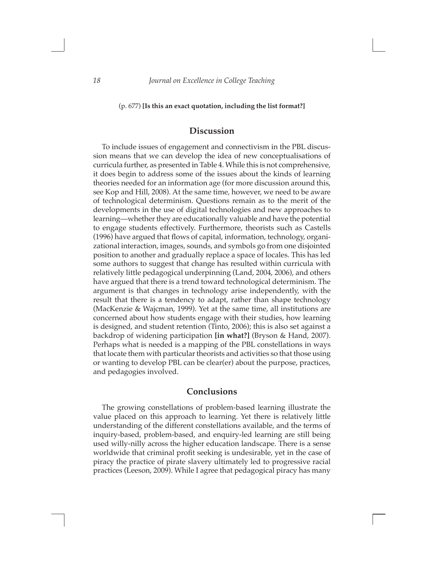#### (p. 677) **[Is this an exact quotation, including the list format?]**

### **Discussion**

To include issues of engagement and connectivism in the PBL discussion means that we can develop the idea of new conceptualisations of curricula further, as presented in Table 4. While this is not comprehensive, it does begin to address some of the issues about the kinds of learning theories needed for an information age (for more discussion around this, see Kop and Hill, 2008). At the same time, however, we need to be aware of technological determinism. Questions remain as to the merit of the developments in the use of digital technologies and new approaches to learning—whether they are educationally valuable and have the potential to engage students effectively. Furthermore, theorists such as Castells (1996) have argued that flows of capital, information, technology, organizational interaction, images, sounds, and symbols go from one disjointed position to another and gradually replace a space of locales. This has led some authors to suggest that change has resulted within curricula with relatively little pedagogical underpinning (Land, 2004, 2006), and others have argued that there is a trend toward technological determinism. The argument is that changes in technology arise independently, with the result that there is a tendency to adapt, rather than shape technology (MacKenzie & Wajcman, 1999). Yet at the same time, all institutions are concerned about how students engage with their studies, how learning is designed, and student retention (Tinto, 2006); this is also set against a backdrop of widening participation **[in what?]** (Bryson & Hand, 2007). Perhaps what is needed is a mapping of the PBL constellations in ways that locate them with particular theorists and activities so that those using or wanting to develop PBL can be clear(er) about the purpose, practices, and pedagogies involved.

### **Conclusions**

The growing constellations of problem-based learning illustrate the value placed on this approach to learning. Yet there is relatively little understanding of the different constellations available, and the terms of inquiry-based, problem-based, and enquiry-led learning are still being used willy-nilly across the higher education landscape. There is a sense worldwide that criminal profit seeking is undesirable, yet in the case of piracy the practice of pirate slavery ultimately led to progressive racial practices (Leeson, 2009). While I agree that pedagogical piracy has many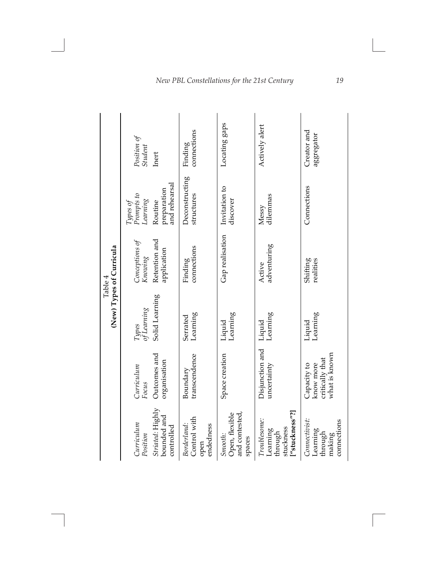|                                                                           |                                                              | (New) Types of Curricula<br>Table 4 |                              |                                         |                           |
|---------------------------------------------------------------------------|--------------------------------------------------------------|-------------------------------------|------------------------------|-----------------------------------------|---------------------------|
| Curriculum<br>Position                                                    | Curriculum<br>Focus                                          | Types<br>of Learning                | Conceptions of<br>Knowing    | Types of<br>Prompts to<br>Learning      | Position of<br>$Student$  |
| Striated: Highly<br>bounded and<br>controlled                             | Outcomes and<br>organisation                                 | Solid Learning                      | Retention and<br>application | and rehearsal<br>preparation<br>Routine | Inert                     |
| Control with<br>Borderland:<br>endedness<br>open                          | transcendence<br>Boundary                                    | Learning<br>Serrated                | connections<br>Finding       | Deconstructing<br>structures            | connections<br>Finding    |
| and contested,<br>Open, flexible<br>Smooth:<br>spaces                     | Space creation                                               | Learning<br>Liquid                  | Gap realisation              | Invitation to<br>discover               | Locating gaps             |
| ["stuckness"?]<br><i>Troublesome:</i><br>stuckness<br>Learning<br>through | Disjunction and<br>uncertainty                               | Learning<br>Liquid                  | adventuring<br>Active        | dilemmas<br>Messy                       | Actively alert            |
| Connectivist:<br>connections<br>Learning<br>through<br>making             | what is known<br>critically that<br>Capacity to<br>know more | Learning<br>Liquid                  | Shifting<br>realities        | Connections                             | Creator and<br>aggregator |

# *New PBL Constellations for the 21st Century 19*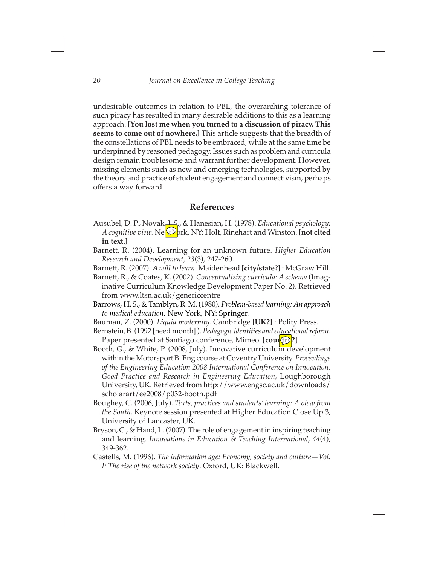undesirable outcomes in relation to PBL, the overarching tolerance of such piracy has resulted in many desirable additions to this as a learning approach. **[You lost me when you turned to a discussion of piracy. This seems to come out of nowhere.]** This article suggests that the breadth of the constellations of PBL needs to be embraced, while at the same time be underpinned by reasoned pedagogy. Issues such as problem and curricula design remain troublesome and warrant further development. However, missing elements such as new and emerging technologies, supported by the theory and practice of student engagement and connectivism, perhaps offers a way forward.

### **References**

- Ausubel, D. P., Novak, J. S., & Hanesian, H. (1978). *Educational psychology: A cognitive view.* Ne $\bigvee$ rk, NY: Holt, Rinehart and Winston. **[not cited in text.]**
- Barnett, R. (2004). Learning for an unknown future. *Higher Education Research and Development, 23*(3), 247-260.
- Barnett, R. (2007). *A will to learn*. Maidenhead **[city/state?]** : McGraw Hill.
- Barnett, R., & Coates, K. (2002). *Conceptualizing curricula: A schema* (Imaginative Curriculum Knowledge Development Paper No. 2). Retrieved from www.ltsn.ac.uk/genericcentre
- Barrows, H. S., & Tamblyn, R. M. (1980). *Problem-based learning: An approach to medical education.* New York, NY: Springer.
- Bauman, Z. (2000). *Liquid modernity.* Cambridge **[UK?]** : Polity Press.
- Bernstein, B. (1992 [need month] ). *Pedagogic identities and educational reform*. Paper presented at Santiago conference, Mimeo. **[country]**
- Booth, G., & White, P. (2008, July). Innovative curriculum development within the Motorsport B. Eng course at Coventry University. *Proceedings of the Engineering Education 2008 International Conference on Innovation, Good Practice and Research in Engineering Education*, Loughborough University, UK. Retrieved from http://www.engsc.ac.uk/downloads/ scholarart/ee2008/p032-booth.pdf
- Boughey, C. (2006, July). *Texts, practices and students' learning: A view from the South*. Keynote session presented at Higher Education Close Up 3, University of Lancaster, UK.
- Bryson, C., & Hand, L. (2007). The role of engagement in inspiring teaching and learning. *Innovations in Education & Teaching International*, *44*(4), 349-362.
- Castells, M. (1996). *The information age: Economy, society and culture—Vol. I: The rise of the network society*. Oxford, UK: Blackwell.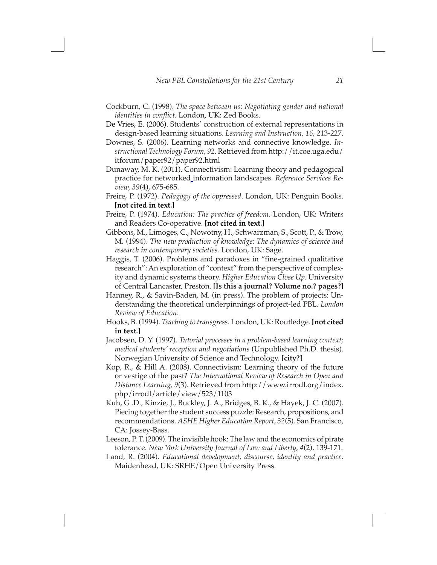- Cockburn, C. (1998). *The space between us: Negotiating gender and national identities in conflict.* London, UK: Zed Books.
- De Vries, E. (2006). Students' construction of external representations in design-based learning situations. *Learning and Instruction, 16,* 213-227.
- Downes, S. (2006). Learning networks and connective knowledge. *Instructional Technology Forum, 92*. Retrieved from http://it.coe.uga.edu/ itforum/paper92/paper92.html
- Dunaway, M. K. (2011). Connectivism: Learning theory and pedagogical practice for networked information landscapes. *Reference Services Review, 39*(4), 675-685.
- Freire, P. (1972). *Pedagogy of the oppressed*. London, UK: Penguin Books. **[not cited in text.]**
- Freire, P. (1974). *Education: The practice of freedom*. London, UK: Writers and Readers Co-operative. **[not cited in text.]**
- Gibbons, M., Limoges, C., Nowotny, H., Schwarzman, S., Scott, P., & Trow, M. (1994). *The new production of knowledge: The dynamics of science and research in contemporary societies.* London, UK: Sage.
- Haggis, T. (2006). Problems and paradoxes in "fine-grained qualitative research": An exploration of "context" from the perspective of complexity and dynamic systems theory. *Higher Education Close Up.* University of Central Lancaster, Preston. **[Is this a journal? Volume no.? pages?]**
- Hanney, R., & Savin-Baden, M. (in press). The problem of projects: Understanding the theoretical underpinnings of project-led PBL. *London Review of Education*.
- Hooks, B. (1994). *Teaching to transgress.* London, UK: Routledge. **[not cited in text.]**
- Jacobsen, D. Y. (1997). *Tutorial processes in a problem-based learning context; medical students' reception and negotiations* (Unpublished Ph.D. thesis). Norwegian University of Science and Technology. **[city?]**
- Kop, R., & Hill A. (2008). Connectivism: Learning theory of the future or vestige of the past? *The International Review of Research in Open and Distance Learning, 9*(3). Retrieved from http://www.irrodl.org/index. php/irrodl/article/view/523/1103
- Kuh, G .D., Kinzie, J., Buckley, J. A., Bridges, B. K., & Hayek, J. C. (2007). Piecing together the student success puzzle: Research, propositions, and recommendations. *ASHE Higher Education Report, 32*(5). San Francisco, CA: Jossey-Bass.
- Leeson, P. T. (2009). The invisible hook: The law and the economics of pirate tolerance. *New York University Journal of Law and Liberty, 4*(2), 139-171.
- Land, R. (2004). *Educational development, discourse, identity and practice*. Maidenhead, UK: SRHE/Open University Press.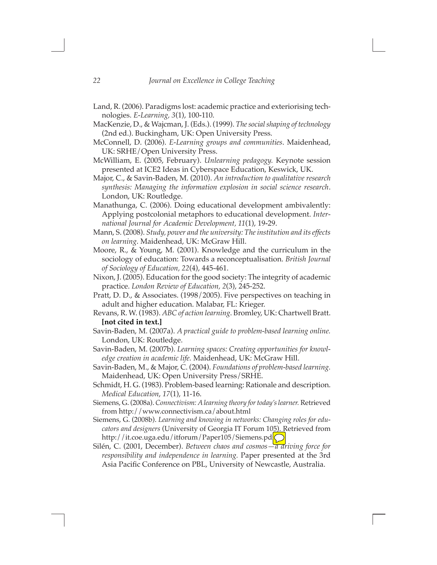- Land, R. (2006). Paradigms lost: academic practice and exteriorising technologies. *E-Learning, 3*(1), 100-110.
- MacKenzie, D., & Wajcman, J. (Eds.). (1999). *The social shaping of technology*  (2nd ed.). Buckingham, UK: Open University Press.
- McConnell, D. (2006). *E-Learning groups and communities*. Maidenhead, UK: SRHE/Open University Press.
- McWilliam, E. (2005, February). *Unlearning pedagogy.* Keynote session presented at ICE2 Ideas in Cyberspace Education, Keswick, UK.
- Major, C., & Savin-Baden, M. (2010). *An introduction to qualitative research synthesis: Managing the information explosion in social science research*. London, UK: Routledge.
- Manathunga, C. (2006). Doing educational development ambivalently: Applying postcolonial metaphors to educational development. *International Journal for Academic Development, 11*(1), 19-29.
- Mann, S. (2008). *Study, power and the university: The institution and its effects on learning*. Maidenhead, UK: McGraw Hill.
- Moore, R., & Young, M. (2001). Knowledge and the curriculum in the sociology of education: Towards a reconceptualisation. *British Journal of Sociology of Education, 22*(4), 445-461.
- Nixon, J. (2005). Education for the good society: The integrity of academic practice. *London Review of Education, 2*(3), 245-252.
- Pratt, D. D., & Associates. (1998/2005). Five perspectives on teaching in adult and higher education. Malabar, FL: Krieger.
- Revans, R. W. (1983). *ABC of action learning*. Bromley, UK: Chartwell Bratt. **[not cited in text.]**
- Savin-Baden, M. (2007a). *A practical guide to problem-based learning online.* London, UK: Routledge.
- Savin-Baden, M. (2007b). *Learning spaces: Creating opportunities for knowledge creation in academic life.* Maidenhead, UK: McGraw Hill.
- Savin-Baden, M., & Major, C. (2004). *Foundations of problem-based learning.* Maidenhead, UK: Open University Press/SRHE.
- Schmidt, H. G. (1983). Problem-based learning: Rationale and description. *Medical Education*, *17*(1), 11-16.
- Siemens, G. (2008a). *Connectivism: A learning theory for today's learner.* Retrieved from http://www.connectivism.ca/about.html
- Siemens, G. (2008b). *Learning and knowing in networks: Changing roles for educators and designers* (University of Georgia IT Forum 105). Retrieved from http://it.coe.uga.edu/itforum/Paper105/Siemens.pd
- Silén, C. (2001, December). *Between chaos and cosmos—a driving force for responsibility and independence in learning.* Paper presented at the 3rd Asia Pacific Conference on PBL, University of Newcastle, Australia.